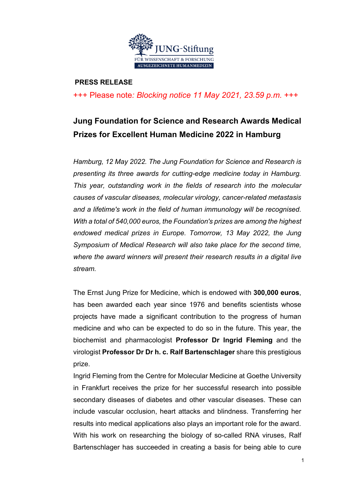

#### **PRESS RELEASE**

+++ Please note*: Blocking notice 11 May 2021, 23.59 p.m.* +++

# **Jung Foundation for Science and Research Awards Medical Prizes for Excellent Human Medicine 2022 in Hamburg**

*Hamburg, 12 May 2022. The Jung Foundation for Science and Research is presenting its three awards for cutting-edge medicine today in Hamburg. This year, outstanding work in the fields of research into the molecular causes of vascular diseases, molecular virology, cancer-related metastasis and a lifetime's work in the field of human immunology will be recognised. With a total of 540,000 euros, the Foundation's prizes are among the highest endowed medical prizes in Europe. Tomorrow, 13 May 2022, the Jung Symposium of Medical Research will also take place for the second time, where the award winners will present their research results in a digital live stream.*

The Ernst Jung Prize for Medicine, which is endowed with **300,000 euros**, has been awarded each year since 1976 and benefits scientists whose projects have made a significant contribution to the progress of human medicine and who can be expected to do so in the future. This year, the biochemist and pharmacologist **Professor Dr Ingrid Fleming** and the virologist **Professor Dr Dr h. c. Ralf Bartenschlager** share this prestigious prize.

Ingrid Fleming from the Centre for Molecular Medicine at Goethe University in Frankfurt receives the prize for her successful research into possible secondary diseases of diabetes and other vascular diseases. These can include vascular occlusion, heart attacks and blindness. Transferring her results into medical applications also plays an important role for the award. With his work on researching the biology of so-called RNA viruses, Ralf Bartenschlager has succeeded in creating a basis for being able to cure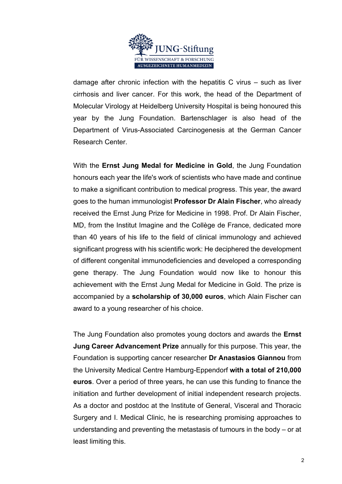

damage after chronic infection with the hepatitis C virus – such as liver cirrhosis and liver cancer. For this work, the head of the Department of Molecular Virology at Heidelberg University Hospital is being honoured this year by the Jung Foundation. Bartenschlager is also head of the Department of Virus-Associated Carcinogenesis at the German Cancer Research Center.

With the **Ernst Jung Medal for Medicine in Gold**, the Jung Foundation honours each year the life's work of scientists who have made and continue to make a significant contribution to medical progress. This year, the award goes to the human immunologist **Professor Dr Alain Fischer**, who already received the Ernst Jung Prize for Medicine in 1998. Prof. Dr Alain Fischer, MD, from the Institut Imagine and the Collège de France, dedicated more than 40 years of his life to the field of clinical immunology and achieved significant progress with his scientific work: He deciphered the development of different congenital immunodeficiencies and developed a corresponding gene therapy. The Jung Foundation would now like to honour this achievement with the Ernst Jung Medal for Medicine in Gold. The prize is accompanied by a **scholarship of 30,000 euros**, which Alain Fischer can award to a young researcher of his choice.

The Jung Foundation also promotes young doctors and awards the **Ernst Jung Career Advancement Prize** annually for this purpose. This year, the Foundation is supporting cancer researcher **Dr Anastasios Giannou** from the University Medical Centre Hamburg-Eppendorf **with a total of 210,000 euros**. Over a period of three years, he can use this funding to finance the initiation and further development of initial independent research projects. As a doctor and postdoc at the Institute of General, Visceral and Thoracic Surgery and I. Medical Clinic, he is researching promising approaches to understanding and preventing the metastasis of tumours in the body – or at least limiting this.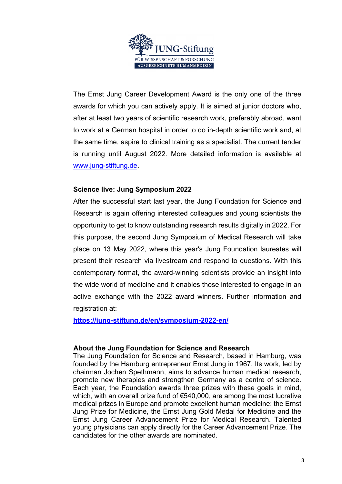

The Ernst Jung Career Development Award is the only one of the three awards for which you can actively apply. It is aimed at junior doctors who, after at least two years of scientific research work, preferably abroad, want to work at a German hospital in order to do in-depth scientific work and, at the same time, aspire to clinical training as a specialist. The current tender is running until August 2022. More detailed information is available at www.jung-stiftung.de.

### **Science live: Jung Symposium 2022**

After the successful start last year, the Jung Foundation for Science and Research is again offering interested colleagues and young scientists the opportunity to get to know outstanding research results digitally in 2022. For this purpose, the second Jung Symposium of Medical Research will take place on 13 May 2022, where this year's Jung Foundation laureates will present their research via livestream and respond to questions. With this contemporary format, the award-winning scientists provide an insight into the wide world of medicine and it enables those interested to engage in an active exchange with the 2022 award winners. Further information and registration at:

**https://jung-stiftung.de/en/symposium-2022-en/**

### **About the Jung Foundation for Science and Research**

The Jung Foundation for Science and Research, based in Hamburg, was founded by the Hamburg entrepreneur Ernst Jung in 1967. Its work, led by chairman Jochen Spethmann, aims to advance human medical research, promote new therapies and strengthen Germany as a centre of science. Each year, the Foundation awards three prizes with these goals in mind, which, with an overall prize fund of €540,000, are among the most lucrative medical prizes in Europe and promote excellent human medicine: the Ernst Jung Prize for Medicine, the Ernst Jung Gold Medal for Medicine and the Ernst Jung Career Advancement Prize for Medical Research. Talented young physicians can apply directly for the Career Advancement Prize. The candidates for the other awards are nominated.